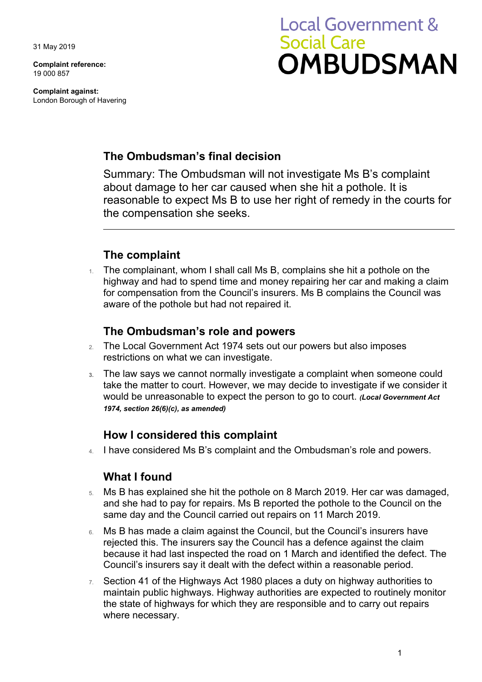31 May 2019

**Complaint reference:**  19 000 857

**Complaint against:**  London Borough of Havering

# **Local Government & Social Care OMBUDSMAN**

## **The Ombudsman's final decision**

 reasonable to expect Ms B to use her right of remedy in the courts for Summary: The Ombudsman will not investigate Ms B's complaint about damage to her car caused when she hit a pothole. It is the compensation she seeks.

## **The complaint**

1. The complainant, whom I shall call Ms B, complains she hit a pothole on the highway and had to spend time and money repairing her car and making a claim for compensation from the Council's insurers. Ms B complains the Council was aware of the pothole but had not repaired it.

### **The Ombudsman's role and powers**

- 2. The Local Government Act 1974 sets out our powers but also imposes restrictions on what we can investigate.
- would be unreasonable to expect the person to go to court. *(Local Government Act*  **3.** The law says we cannot normally investigate a complaint when someone could take the matter to court. However, we may decide to investigate if we consider it *1974, section 26(6)(c), as amended)*

#### **How I considered this complaint**

4. I have considered Ms B's complaint and the Ombudsman's role and powers.

## **What I found**

- and she had to pay for repairs. Ms B reported the pothole to the Council on the 5. Ms B has explained she hit the pothole on 8 March 2019. Her car was damaged, same day and the Council carried out repairs on 11 March 2019.
- 6. Ms B has made a claim against the Council, but the Council's insurers have rejected this. The insurers say the Council has a defence against the claim because it had last inspected the road on 1 March and identified the defect. The Council's insurers say it dealt with the defect within a reasonable period.
- $7.$  Section 41 of the Highways Act 1980 places a duty on highway authorities to maintain public highways. Highway authorities are expected to routinely monitor the state of highways for which they are responsible and to carry out repairs where necessary.